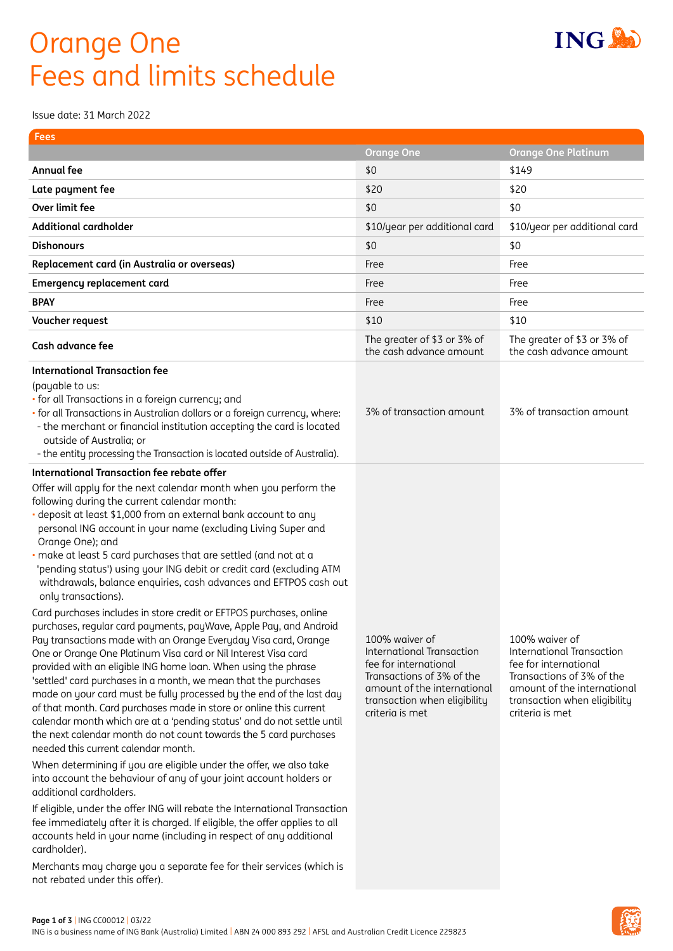## Orange One Fees and limits schedule

Issue date: 31 March 2022

| <b>Orange One Platinum</b><br>\$149<br>\$20<br>\$0<br>\$10/year per additional card<br>\$10/year per additional card<br>\$0<br>Free<br>Free<br>Free<br>\$10<br>The greater of \$3 or 3% of<br>The greater of \$3 or 3% of<br>the cash advance amount<br>the cash advance amount<br>3% of transaction amount<br>3% of transaction amount             |
|-----------------------------------------------------------------------------------------------------------------------------------------------------------------------------------------------------------------------------------------------------------------------------------------------------------------------------------------------------|
|                                                                                                                                                                                                                                                                                                                                                     |
|                                                                                                                                                                                                                                                                                                                                                     |
|                                                                                                                                                                                                                                                                                                                                                     |
|                                                                                                                                                                                                                                                                                                                                                     |
|                                                                                                                                                                                                                                                                                                                                                     |
|                                                                                                                                                                                                                                                                                                                                                     |
|                                                                                                                                                                                                                                                                                                                                                     |
|                                                                                                                                                                                                                                                                                                                                                     |
|                                                                                                                                                                                                                                                                                                                                                     |
|                                                                                                                                                                                                                                                                                                                                                     |
|                                                                                                                                                                                                                                                                                                                                                     |
|                                                                                                                                                                                                                                                                                                                                                     |
| 100% waiver of<br><b>International Transaction</b><br><b>International Transaction</b><br>fee for international<br>fee for international<br>Transactions of 3% of the<br>Transactions of 3% of the<br>amount of the international<br>amount of the international<br>transaction when eligibility<br>transaction when eligibility<br>criteria is met |
|                                                                                                                                                                                                                                                                                                                                                     |



**ING AD**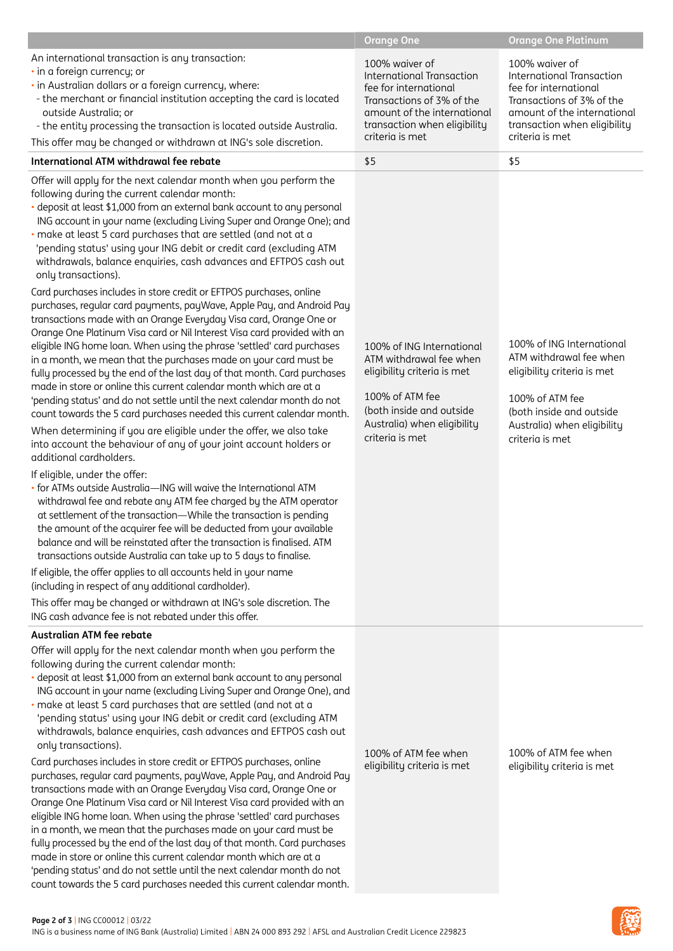|                                                                                                                                                                                                                                                                                                                                                                                                                                                                                                                                                                                                                                                                                                                                                                                                                                                                                                                                                                                                                                                                                                                                                                                                                                                                                                                                                                                                                                                                                                                                                                                                                                                                                                                                                                                                                                                                                                                                                                                  | <b>Orange One</b>                                                                                                                                                                          | <b>Orange One Platinum</b>                                                                                                                                                                 |
|----------------------------------------------------------------------------------------------------------------------------------------------------------------------------------------------------------------------------------------------------------------------------------------------------------------------------------------------------------------------------------------------------------------------------------------------------------------------------------------------------------------------------------------------------------------------------------------------------------------------------------------------------------------------------------------------------------------------------------------------------------------------------------------------------------------------------------------------------------------------------------------------------------------------------------------------------------------------------------------------------------------------------------------------------------------------------------------------------------------------------------------------------------------------------------------------------------------------------------------------------------------------------------------------------------------------------------------------------------------------------------------------------------------------------------------------------------------------------------------------------------------------------------------------------------------------------------------------------------------------------------------------------------------------------------------------------------------------------------------------------------------------------------------------------------------------------------------------------------------------------------------------------------------------------------------------------------------------------------|--------------------------------------------------------------------------------------------------------------------------------------------------------------------------------------------|--------------------------------------------------------------------------------------------------------------------------------------------------------------------------------------------|
| An international transaction is any transaction:<br>· in a foreign currency; or<br>· in Australian dollars or a foreign currency, where:<br>- the merchant or financial institution accepting the card is located<br>outside Australia; or<br>- the entity processing the transaction is located outside Australia.<br>This offer may be changed or withdrawn at ING's sole discretion.                                                                                                                                                                                                                                                                                                                                                                                                                                                                                                                                                                                                                                                                                                                                                                                                                                                                                                                                                                                                                                                                                                                                                                                                                                                                                                                                                                                                                                                                                                                                                                                          | 100% waiver of<br><b>International Transaction</b><br>fee for international<br>Transactions of 3% of the<br>amount of the international<br>transaction when eligibility<br>criteria is met | 100% waiver of<br><b>International Transaction</b><br>fee for international<br>Transactions of 3% of the<br>amount of the international<br>transaction when eligibility<br>criteria is met |
| International ATM withdrawal fee rebate                                                                                                                                                                                                                                                                                                                                                                                                                                                                                                                                                                                                                                                                                                                                                                                                                                                                                                                                                                                                                                                                                                                                                                                                                                                                                                                                                                                                                                                                                                                                                                                                                                                                                                                                                                                                                                                                                                                                          | \$5                                                                                                                                                                                        | \$5                                                                                                                                                                                        |
| Offer will apply for the next calendar month when you perform the<br>following during the current calendar month:<br>deposit at least \$1,000 from an external bank account to any personal<br>ING account in your name (excluding Living Super and Orange One); and<br>make at least 5 card purchases that are settled (and not at a<br>'pending status' using your ING debit or credit card (excluding ATM<br>withdrawals, balance enquiries, cash advances and EFTPOS cash out<br>only transactions).<br>Card purchases includes in store credit or EFTPOS purchases, online<br>purchases, regular card payments, payWave, Apple Pay, and Android Pay<br>transactions made with an Orange Everyday Visa card, Orange One or<br>Orange One Platinum Visa card or Nil Interest Visa card provided with an<br>eligible ING home loan. When using the phrase 'settled' card purchases<br>in a month, we mean that the purchases made on your card must be<br>fully processed by the end of the last day of that month. Card purchases<br>made in store or online this current calendar month which are at a<br>'pending status' and do not settle until the next calendar month do not<br>count towards the 5 card purchases needed this current calendar month.<br>When determining if you are eligible under the offer, we also take<br>into account the behaviour of any of your joint account holders or<br>additional cardholders.<br>If eligible, under the offer:<br>- for ATMs outside Australia-ING will waive the International ATM<br>withdrawal fee and rebate any ATM fee charged by the ATM operator<br>at settlement of the transaction-While the transaction is pending<br>the amount of the acquirer fee will be deducted from your available<br>balance and will be reinstated after the transaction is finalised. ATM<br>transactions outside Australia can take up to 5 days to finalise.<br>If eligible, the offer applies to all accounts held in your name | 100% of ING International<br>ATM withdrawal fee when<br>eligibility criteria is met<br>100% of ATM fee<br>(both inside and outside<br>Australia) when eligibility<br>criteria is met       | 100% of ING International<br>ATM withdrawal fee when<br>eligibility criteria is met<br>100% of ATM fee<br>(both inside and outside<br>Australia) when eligibility<br>criteria is met       |
| (including in respect of any additional cardholder).<br>This offer may be changed or withdrawn at ING's sole discretion. The<br>ING cash advance fee is not rebated under this offer.                                                                                                                                                                                                                                                                                                                                                                                                                                                                                                                                                                                                                                                                                                                                                                                                                                                                                                                                                                                                                                                                                                                                                                                                                                                                                                                                                                                                                                                                                                                                                                                                                                                                                                                                                                                            |                                                                                                                                                                                            |                                                                                                                                                                                            |
| Australian ATM fee rebate                                                                                                                                                                                                                                                                                                                                                                                                                                                                                                                                                                                                                                                                                                                                                                                                                                                                                                                                                                                                                                                                                                                                                                                                                                                                                                                                                                                                                                                                                                                                                                                                                                                                                                                                                                                                                                                                                                                                                        |                                                                                                                                                                                            |                                                                                                                                                                                            |
| Offer will apply for the next calendar month when you perform the<br>following during the current calendar month:<br>deposit at least \$1,000 from an external bank account to any personal<br>ING account in your name (excluding Living Super and Orange One), and<br>make at least 5 card purchases that are settled (and not at a<br>'pending status' using your ING debit or credit card (excluding ATM<br>withdrawals, balance enquiries, cash advances and EFTPOS cash out<br>only transactions).<br>Card purchases includes in store credit or EFTPOS purchases, online<br>purchases, regular card payments, payWave, Apple Pay, and Android Pay<br>transactions made with an Orange Everyday Visa card, Orange One or<br>Orange One Platinum Visa card or Nil Interest Visa card provided with an<br>eligible ING home loan. When using the phrase 'settled' card purchases<br>in a month, we mean that the purchases made on your card must be<br>fully processed by the end of the last day of that month. Card purchases<br>made in store or online this current calendar month which are at a<br>'pending status' and do not settle until the next calendar month do not<br>count towards the 5 card purchases needed this current calendar month.                                                                                                                                                                                                                                                                                                                                                                                                                                                                                                                                                                                                                                                                                                                  | 100% of ATM fee when<br>eligibility criteria is met                                                                                                                                        | 100% of ATM fee when<br>eligibility criteria is met                                                                                                                                        |